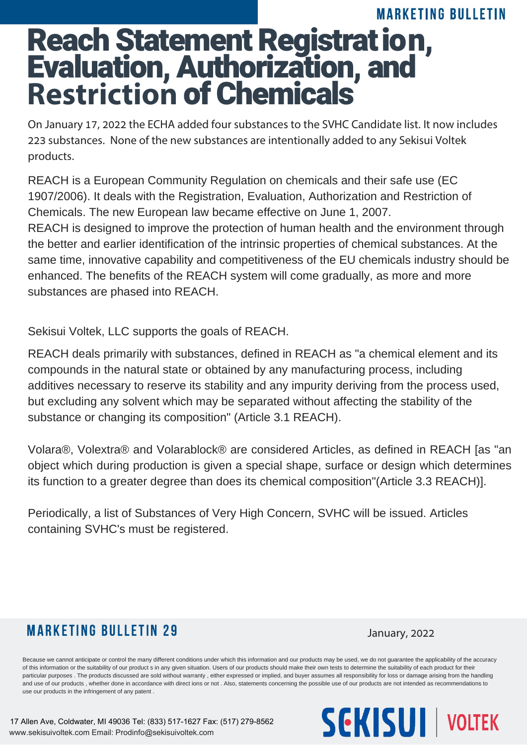## Reach Statement Registration, **MARKETING BULLETIN** Evaluation, Authorization, and **Restriction** of Chemicals

On January 17, 2022 the ECHA added four substances to the SVHC Candidate list. It now includes 223 substances. None of the new substances are intentionally added to any Sekisui Voltek products.

REACH is a European Community Regulation on chemicals and their safe use (EC 1907/2006). It deals with the Registration, Evaluation, Authorization and Restriction of Chemicals. The new European law became effective on June 1, 2007. REACH is designed to improve the protection of human health and the environment through the better and earlier identification of the intrinsic properties of chemical substances. At the same time, innovative capability and competitiveness of the EU chemicals industry should be enhanced. The benefits of the REACH system will come gradually, as more and more substances are phased into REACH.

Sekisui Voltek, LLC supports the goals of REACH.

REACH deals primarily with substances, defined in REACH as "a chemical element and its compounds in the natural state or obtained by any manufacturing process, including additives necessary to reserve its stability and any impurity deriving from the process used, but excluding any solvent which may be separated without affecting the stability of the substance or changing its composition" (Article 3.1 REACH).

Volara®, Volextra® and Volarablock® are considered Articles, as defined in REACH [as "an object which during production is given a special shape, surface or design which determines its function to a greater degree than does its chemical composition"(Article 3.3 REACH)].

Periodically, a list of Substances of Very High Concern, SVHC will be issued. Articles containing SVHC's must be registered.

## **MARKETING BULLETIN 29**

January, 2022

Because we cannot anticipate or control the many different conditions under which this information and our products may be used, we do not quarantee the applicability of the accuracy of this information or the suitability of our product s in any given situation. Users of our products should make their own tests to determine the suitability of each product for their particular purposes . The products discussed are sold without warranty, either expressed or implied, and buyer assumes all responsibility for loss or damage arising from the handling and use of our products , whether done in accordance with direct ions or not . Also, statements concerning the possible use of our products are not intended as recommendations to use our products in the infringement of any patent .